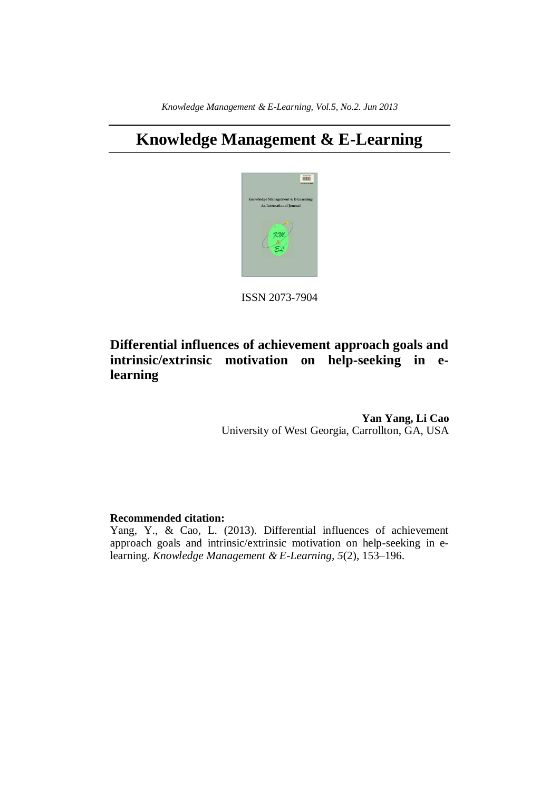# **Knowledge Management & E-Learning**



ISSN 2073-7904

## **Differential influences of achievement approach goals and intrinsic/extrinsic motivation on help-seeking in elearning**

**Yan Yang, Li Cao** University of West Georgia, Carrollton, GA, USA

## **Recommended citation:**

Yang, Y., & Cao, L. (2013). Differential influences of achievement approach goals and intrinsic/extrinsic motivation on help-seeking in elearning. *Knowledge Management & E-Learning, 5*(2), 153–196.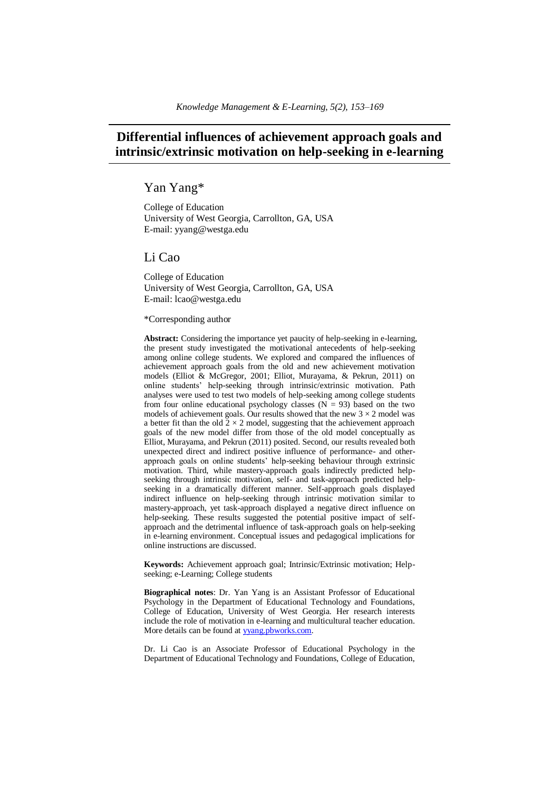## **Differential influences of achievement approach goals and intrinsic/extrinsic motivation on help-seeking in e-learning**

## Yan Yang\*

College of Education University of West Georgia, Carrollton, GA, USA E-mail: yyang@westga.edu

## Li Cao

College of Education University of West Georgia, Carrollton, GA, USA E-mail: lcao@westga.edu

#### \*Corresponding author

**Abstract:** Considering the importance yet paucity of help-seeking in e-learning, the present study investigated the motivational antecedents of help-seeking among online college students. We explored and compared the influences of achievement approach goals from the old and new achievement motivation models (Elliot & McGregor, 2001; Elliot, Murayama, & Pekrun, 2011) on online students' help-seeking through intrinsic/extrinsic motivation. Path analyses were used to test two models of help-seeking among college students from four online educational psychology classes  $(N = 93)$  based on the two models of achievement goals. Our results showed that the new  $3 \times 2$  model was a better fit than the old  $2 \times 2$  model, suggesting that the achievement approach goals of the new model differ from those of the old model conceptually as Elliot, Murayama, and Pekrun (2011) posited. Second, our results revealed both unexpected direct and indirect positive influence of performance- and otherapproach goals on online students' help-seeking behaviour through extrinsic motivation. Third, while mastery-approach goals indirectly predicted helpseeking through intrinsic motivation, self- and task-approach predicted helpseeking in a dramatically different manner. Self-approach goals displayed indirect influence on help-seeking through intrinsic motivation similar to mastery-approach, yet task-approach displayed a negative direct influence on help-seeking. These results suggested the potential positive impact of selfapproach and the detrimental influence of task-approach goals on help-seeking in e-learning environment. Conceptual issues and pedagogical implications for online instructions are discussed.

**Keywords:** Achievement approach goal; Intrinsic/Extrinsic motivation; Helpseeking; e-Learning; College students

**Biographical notes**: Dr. Yan Yang is an Assistant Professor of Educational Psychology in the Department of Educational Technology and Foundations, College of Education, University of West Georgia. Her research interests include the role of motivation in e-learning and multicultural teacher education. More details can be found at [yyang.pbworks.com.](http://yyang.pbworks.com/)

Dr. Li Cao is an Associate Professor of Educational Psychology in the Department of Educational Technology and Foundations, College of Education,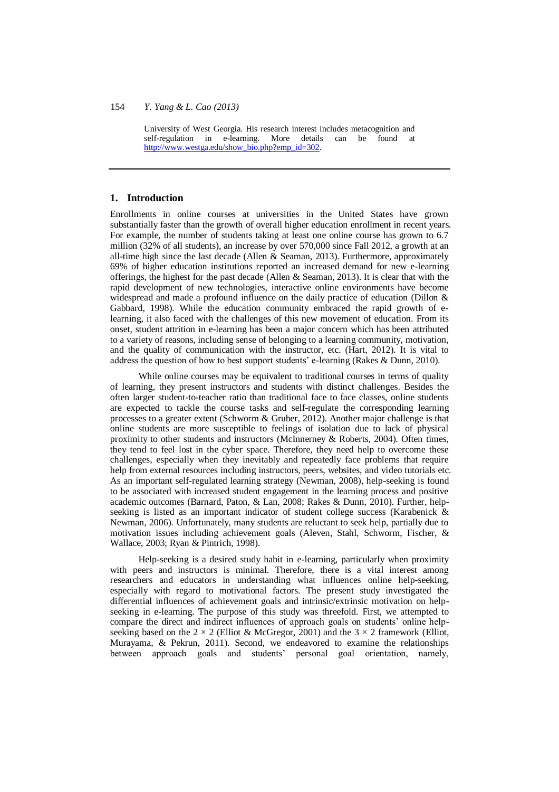University of West Georgia. His research interest includes metacognition and self-regulation in e-learning. More details can be found at [http://www.westga.edu/show\\_bio.php?emp\\_id=302.](http://www.westga.edu/show_bio.php?emp_id=302)

## **1. Introduction**

Enrollments in online courses at universities in the United States have grown substantially faster than the growth of overall higher education enrollment in recent years. For example, the number of students taking at least one online course has grown to 6.7 million (32% of all students), an increase by over 570,000 since Fall 2012, a growth at an all-time high since the last decade (Allen  $\&$  Seaman, 2013). Furthermore, approximately 69% of higher education institutions reported an increased demand for new e-learning offerings, the highest for the past decade (Allen & Seaman, 2013). It is clear that with the rapid development of new technologies, interactive online environments have become widespread and made a profound influence on the daily practice of education (Dillon & Gabbard, 1998). While the education community embraced the rapid growth of elearning, it also faced with the challenges of this new movement of education. From its onset, student attrition in e-learning has been a major concern which has been attributed to a variety of reasons, including sense of belonging to a learning community, motivation, and the quality of communication with the instructor, etc. (Hart, 2012). It is vital to address the question of how to best support students' e-learning (Rakes & Dunn, 2010).

While online courses may be equivalent to traditional courses in terms of quality of learning, they present instructors and students with distinct challenges. Besides the often larger student-to-teacher ratio than traditional face to face classes, online students are expected to tackle the course tasks and self-regulate the corresponding learning processes to a greater extent (Schworm & Gruber, 2012). Another major challenge is that online students are more susceptible to feelings of isolation due to lack of physical proximity to other students and instructors (McInnerney & Roberts, 2004). Often times, they tend to feel lost in the cyber space. Therefore, they need help to overcome these challenges, especially when they inevitably and repeatedly face problems that require help from external resources including instructors, peers, websites, and video tutorials etc. As an important self-regulated learning strategy (Newman, 2008), help-seeking is found to be associated with increased student engagement in the learning process and positive academic outcomes (Barnard, Paton, & Lan, 2008; Rakes & Dunn, 2010). Further, helpseeking is listed as an important indicator of student college success (Karabenick & Newman, 2006). Unfortunately, many students are reluctant to seek help, partially due to motivation issues including achievement goals (Aleven, Stahl, Schworm, Fischer, & Wallace, 2003; Ryan & Pintrich, 1998).

Help-seeking is a desired study habit in e-learning, particularly when proximity with peers and instructors is minimal. Therefore, there is a vital interest among researchers and educators in understanding what influences online help-seeking, especially with regard to motivational factors. The present study investigated the differential influences of achievement goals and intrinsic/extrinsic motivation on helpseeking in e-learning. The purpose of this study was threefold. First, we attempted to compare the direct and indirect influences of approach goals on students' online helpseeking based on the  $2 \times 2$  (Elliot & McGregor, 2001) and the  $3 \times 2$  framework (Elliot, Murayama, & Pekrun, 2011). Second, we endeavored to examine the relationships between approach goals and students' personal goal orientation, namely,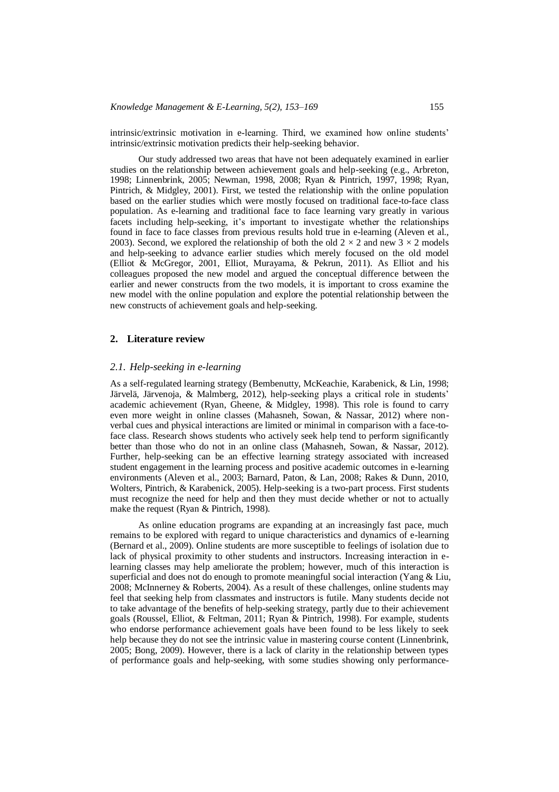intrinsic/extrinsic motivation in e-learning. Third, we examined how online students' intrinsic/extrinsic motivation predicts their help-seeking behavior.

Our study addressed two areas that have not been adequately examined in earlier studies on the relationship between achievement goals and help-seeking (e.g., Arbreton, 1998; Linnenbrink, 2005; Newman, 1998, 2008; Ryan & Pintrich, 1997, 1998; Ryan, Pintrich, & Midgley, 2001). First, we tested the relationship with the online population based on the earlier studies which were mostly focused on traditional face-to-face class population. As e-learning and traditional face to face learning vary greatly in various facets including help-seeking, it's important to investigate whether the relationships found in face to face classes from previous results hold true in e-learning (Aleven et al., 2003). Second, we explored the relationship of both the old  $2 \times 2$  and new  $3 \times 2$  models and help-seeking to advance earlier studies which merely focused on the old model (Elliot & McGregor, 2001, Elliot, Murayama, & Pekrun, 2011). As Elliot and his colleagues proposed the new model and argued the conceptual difference between the earlier and newer constructs from the two models, it is important to cross examine the new model with the online population and explore the potential relationship between the new constructs of achievement goals and help-seeking.

## **2. Literature review**

## *2.1. Help-seeking in e-learning*

As a self-regulated learning strategy (Bembenutty, McKeachie, Karabenick, & Lin, 1998; Järvelä, Järvenoja, & Malmberg, 2012), help-seeking plays a critical role in students' academic achievement (Ryan, Gheene, & Midgley, 1998). This role is found to carry even more weight in online classes (Mahasneh, Sowan, & Nassar, 2012) where nonverbal cues and physical interactions are limited or minimal in comparison with a face-toface class. Research shows students who actively seek help tend to perform significantly better than those who do not in an online class (Mahasneh, Sowan, & Nassar, 2012). Further, help-seeking can be an effective learning strategy associated with increased student engagement in the learning process and positive academic outcomes in e-learning environments (Aleven et al., 2003; Barnard, Paton, & Lan, 2008; Rakes & Dunn, 2010, Wolters, Pintrich, & Karabenick, 2005). Help-seeking is a two-part process. First students must recognize the need for help and then they must decide whether or not to actually make the request (Ryan & Pintrich, 1998).

As online education programs are expanding at an increasingly fast pace, much remains to be explored with regard to unique characteristics and dynamics of e-learning (Bernard et al., 2009). Online students are more susceptible to feelings of isolation due to lack of physical proximity to other students and instructors. Increasing interaction in elearning classes may help ameliorate the problem; however, much of this interaction is superficial and does not do enough to promote meaningful social interaction (Yang  $&$  Liu, 2008; McInnerney & Roberts, 2004). As a result of these challenges, online students may feel that seeking help from classmates and instructors is futile. Many students decide not to take advantage of the benefits of help-seeking strategy, partly due to their achievement goals (Roussel, Elliot, & Feltman, 2011; Ryan & Pintrich, 1998). For example, students who endorse performance achievement goals have been found to be less likely to seek help because they do not see the intrinsic value in mastering course content (Linnenbrink, 2005; Bong, 2009). However, there is a lack of clarity in the relationship between types of performance goals and help-seeking, with some studies showing only performance-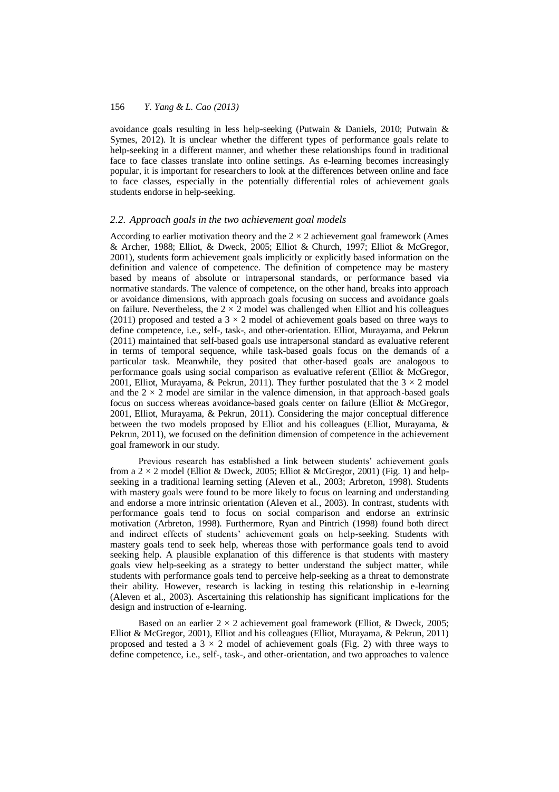avoidance goals resulting in less help-seeking (Putwain & Daniels, 2010; Putwain & Symes, 2012). It is unclear whether the different types of performance goals relate to help-seeking in a different manner, and whether these relationships found in traditional face to face classes translate into online settings. As e-learning becomes increasingly popular, it is important for researchers to look at the differences between online and face to face classes, especially in the potentially differential roles of achievement goals students endorse in help-seeking.

### *2.2. Approach goals in the two achievement goal models*

According to earlier motivation theory and the  $2 \times 2$  achievement goal framework (Ames & Archer, 1988; Elliot, & Dweck, 2005; Elliot & Church, 1997; Elliot & McGregor, 2001), students form achievement goals implicitly or explicitly based information on the definition and valence of competence. The definition of competence may be mastery based by means of absolute or intrapersonal standards, or performance based via normative standards. The valence of competence, on the other hand, breaks into approach or avoidance dimensions, with approach goals focusing on success and avoidance goals on failure. Nevertheless, the  $2 \times 2$  model was challenged when Elliot and his colleagues (2011) proposed and tested a  $3 \times 2$  model of achievement goals based on three ways to define competence, i.e., self-, task-, and other-orientation. Elliot, Murayama, and Pekrun (2011) maintained that self-based goals use intrapersonal standard as evaluative referent in terms of temporal sequence, while task-based goals focus on the demands of a particular task. Meanwhile, they posited that other-based goals are analogous to performance goals using social comparison as evaluative referent (Elliot & McGregor, 2001, Elliot, Murayama, & Pekrun, 2011). They further postulated that the  $3 \times 2$  model and the  $2 \times 2$  model are similar in the valence dimension, in that approach-based goals focus on success whereas avoidance-based goals center on failure (Elliot & McGregor, 2001, Elliot, Murayama, & Pekrun, 2011). Considering the major conceptual difference between the two models proposed by Elliot and his colleagues (Elliot, Murayama, & Pekrun, 2011), we focused on the definition dimension of competence in the achievement goal framework in our study.

Previous research has established a link between students' achievement goals from a  $2 \times 2$  model (Elliot & Dweck, 2005; Elliot & McGregor, 2001) (Fig. 1) and helpseeking in a traditional learning setting (Aleven et al., 2003; Arbreton, 1998). Students with mastery goals were found to be more likely to focus on learning and understanding and endorse a more intrinsic orientation (Aleven et al., 2003). In contrast, students with performance goals tend to focus on social comparison and endorse an extrinsic motivation (Arbreton, 1998). Furthermore, Ryan and Pintrich (1998) found both direct and indirect effects of students' achievement goals on help-seeking. Students with mastery goals tend to seek help, whereas those with performance goals tend to avoid seeking help. A plausible explanation of this difference is that students with mastery goals view help-seeking as a strategy to better understand the subject matter, while students with performance goals tend to perceive help-seeking as a threat to demonstrate their ability. However, research is lacking in testing this relationship in e-learning (Aleven et al., 2003). Ascertaining this relationship has significant implications for the design and instruction of e-learning.

Based on an earlier  $2 \times 2$  achievement goal framework (Elliot, & Dweck, 2005; Elliot & McGregor, 2001), Elliot and his colleagues (Elliot, Murayama, & Pekrun, 2011) proposed and tested a  $3 \times 2$  model of achievement goals (Fig. 2) with three ways to define competence, i.e., self-, task-, and other-orientation, and two approaches to valence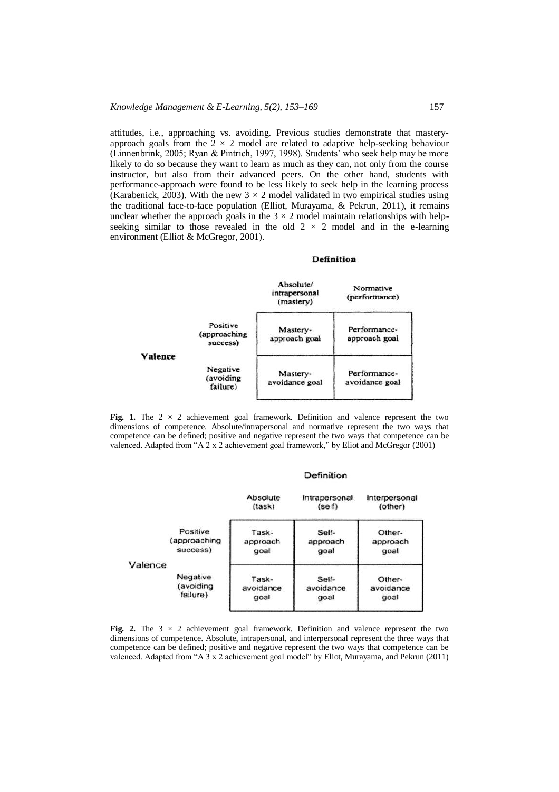attitudes, i.e., approaching vs. avoiding. Previous studies demonstrate that masteryapproach goals from the  $2 \times 2$  model are related to adaptive help-seeking behaviour (Linnenbrink, 2005; Ryan & Pintrich, 1997, 1998). Students' who seek help may be more likely to do so because they want to learn as much as they can, not only from the course instructor, but also from their advanced peers. On the other hand, students with performance-approach were found to be less likely to seek help in the learning process (Karabenick, 2003). With the new  $3 \times 2$  model validated in two empirical studies using the traditional face-to-face population (Elliot, Murayama, & Pekrun, 2011), it remains unclear whether the approach goals in the  $3 \times 2$  model maintain relationships with helpseeking similar to those revealed in the old  $2 \times 2$  model and in the e-learning environment (Elliot & McGregor, 2001).

#### Definition



**Fig. 1.** The  $2 \times 2$  achievement goal framework. Definition and valence represent the two dimensions of competence. Absolute/intrapersonal and normative represent the two ways that competence can be defined; positive and negative represent the two ways that competence can be valenced. Adapted from "A 2 x 2 achievement goal framework," by Eliot and McGregor (2001)

#### Definition

|         |              | Absolute<br>$l$ | Intrapersonal<br>(self) | Interpersonal<br>(other) |
|---------|--------------|-----------------|-------------------------|--------------------------|
|         | Positive     | Task-           | Self-                   | Other-                   |
|         | (approaching | approach        | approach                | approach                 |
|         | success)     | goal            | goal                    | goal                     |
| Valence | Negative     | Task-           | Self-                   | Other-                   |
|         | (avoiding    | avoidance       | avoidance               | avoidance                |
|         | failure)     | goal            | goal                    | goal                     |

Fig. 2. The  $3 \times 2$  achievement goal framework. Definition and valence represent the two dimensions of competence. Absolute, intrapersonal, and interpersonal represent the three ways that competence can be defined; positive and negative represent the two ways that competence can be valenced. Adapted from "A 3 x 2 achievement goal model" by Eliot, Murayama, and Pekrun (2011)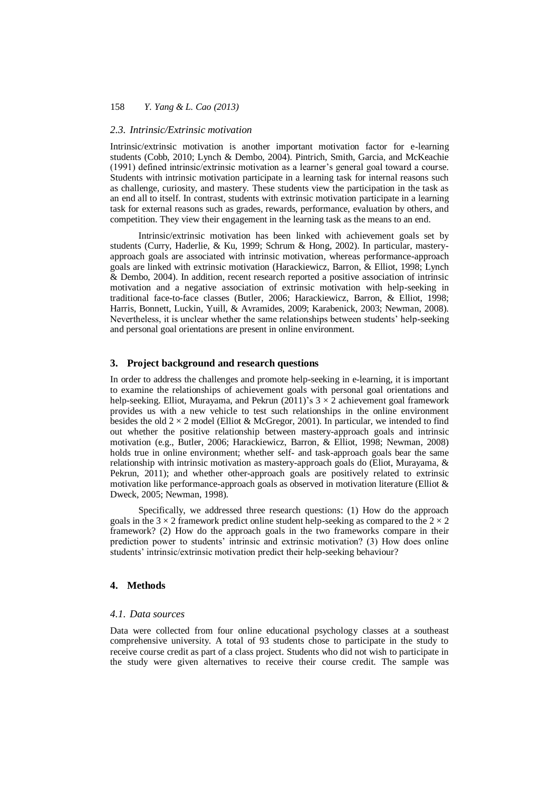#### *2.3. Intrinsic/Extrinsic motivation*

Intrinsic/extrinsic motivation is another important motivation factor for e-learning students (Cobb, 2010; Lynch & Dembo, 2004). Pintrich, Smith, Garcia, and McKeachie (1991) defined intrinsic/extrinsic motivation as a learner's general goal toward a course. Students with intrinsic motivation participate in a learning task for internal reasons such as challenge, curiosity, and mastery. These students view the participation in the task as an end all to itself. In contrast, students with extrinsic motivation participate in a learning task for external reasons such as grades, rewards, performance, evaluation by others, and competition. They view their engagement in the learning task as the means to an end.

Intrinsic/extrinsic motivation has been linked with achievement goals set by students (Curry, Haderlie, & Ku, 1999; Schrum & Hong, 2002). In particular, masteryapproach goals are associated with intrinsic motivation, whereas performance-approach goals are linked with extrinsic motivation (Harackiewicz, Barron, & Elliot, 1998; Lynch & Dembo, 2004). In addition, recent research reported a positive association of intrinsic motivation and a negative association of extrinsic motivation with help-seeking in traditional face-to-face classes (Butler, 2006; Harackiewicz, Barron, & Elliot, 1998; Harris, Bonnett, Luckin, Yuill, & Avramides, 2009; Karabenick, 2003; Newman, 2008). Nevertheless, it is unclear whether the same relationships between students' help-seeking and personal goal orientations are present in online environment.

## **3. Project background and research questions**

In order to address the challenges and promote help-seeking in e-learning, it is important to examine the relationships of achievement goals with personal goal orientations and help-seeking. Elliot, Murayama, and Pekrun (2011)'s  $3 \times 2$  achievement goal framework provides us with a new vehicle to test such relationships in the online environment besides the old  $2 \times 2$  model (Elliot & McGregor, 2001). In particular, we intended to find out whether the positive relationship between mastery-approach goals and intrinsic motivation (e.g., Butler, 2006; Harackiewicz, Barron, & Elliot, 1998; Newman, 2008) holds true in online environment; whether self- and task-approach goals bear the same relationship with intrinsic motivation as mastery-approach goals do (Eliot, Murayama, & Pekrun, 2011); and whether other-approach goals are positively related to extrinsic motivation like performance-approach goals as observed in motivation literature (Elliot & Dweck, 2005; Newman, 1998).

Specifically, we addressed three research questions: (1) How do the approach goals in the  $3 \times 2$  framework predict online student help-seeking as compared to the  $2 \times 2$ framework? (2) How do the approach goals in the two frameworks compare in their prediction power to students' intrinsic and extrinsic motivation? (3) How does online students' intrinsic/extrinsic motivation predict their help-seeking behaviour?

## **4. Methods**

#### *4.1. Data sources*

Data were collected from four online educational psychology classes at a southeast comprehensive university. A total of 93 students chose to participate in the study to receive course credit as part of a class project. Students who did not wish to participate in the study were given alternatives to receive their course credit. The sample was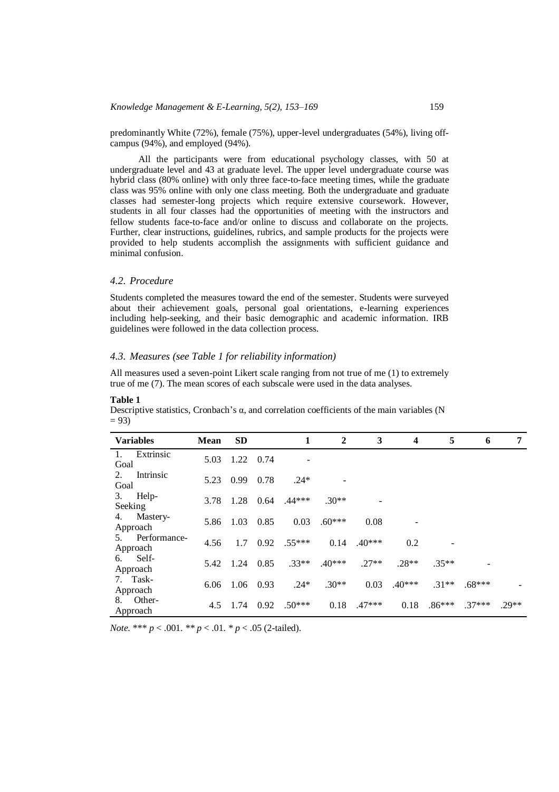predominantly White (72%), female (75%), upper-level undergraduates (54%), living offcampus (94%), and employed (94%).

All the participants were from educational psychology classes, with 50 at undergraduate level and 43 at graduate level. The upper level undergraduate course was hybrid class (80% online) with only three face-to-face meeting times, while the graduate class was 95% online with only one class meeting. Both the undergraduate and graduate classes had semester-long projects which require extensive coursework. However, students in all four classes had the opportunities of meeting with the instructors and fellow students face-to-face and/or online to discuss and collaborate on the projects. Further, clear instructions, guidelines, rubrics, and sample products for the projects were provided to help students accomplish the assignments with sufficient guidance and minimal confusion.

## *4.2. Procedure*

Students completed the measures toward the end of the semester. Students were surveyed about their achievement goals, personal goal orientations, e-learning experiences including help-seeking, and their basic demographic and academic information. IRB guidelines were followed in the data collection process.

## *4.3. Measures (see Table 1 for reliability information)*

All measures used a seven-point Likert scale ranging from not true of me (1) to extremely true of me (7). The mean scores of each subscale were used in the data analyses.

| <b>Variables</b>               | <b>Mean</b> | <b>SD</b> |      | 1        | $\overline{2}$ | 3        | $\boldsymbol{4}$ | 5        | 6        | 7       |
|--------------------------------|-------------|-----------|------|----------|----------------|----------|------------------|----------|----------|---------|
| Extrinsic<br>1.<br>Goal        | 5.03        | 1.22      | 0.74 |          |                |          |                  |          |          |         |
| Intrinsic<br>2.<br>Goal        | 5.23        | 0.99      | 0.78 | $.24*$   |                |          |                  |          |          |         |
| Help-<br>3.<br>Seeking         | 3.78        | 1.28      | 0.64 | $.44***$ | $.30**$        |          |                  |          |          |         |
| Mastery-<br>4.<br>Approach     | 5.86        | 1.03      | 0.85 | 0.03     | $.60***$       | 0.08     |                  |          |          |         |
| Performance-<br>5.<br>Approach | 4.56        | 1.7       | 0.92 | $.55***$ | 0.14           | $.40***$ | 0.2              |          |          |         |
| Self-<br>6.<br>Approach        | 5.42        | 1.24      | 0.85 | $.33**$  | $.40***$       | $.27**$  | $.28**$          | $.35**$  |          |         |
| 7. Task-<br>Approach           | 6.06        | 1.06      | 0.93 | $.24*$   | $.30**$        | 0.03     | $.40***$         | $.31**$  | $.68***$ |         |
| Other-<br>8.<br>Approach       | 4.5         | 1.74      | 0.92 | $.50***$ | 0.18           | $.47***$ | 0.18             | $.86***$ | $.37***$ | $.29**$ |

#### **Table 1**

Descriptive statistics, Cronbach's  $\alpha$ , and correlation coefficients of the main variables (N  $= 93$ 

*Note.* \*\*\* *p* < .001. *\*\* p* < .01. *\* p* < .05 (2-tailed).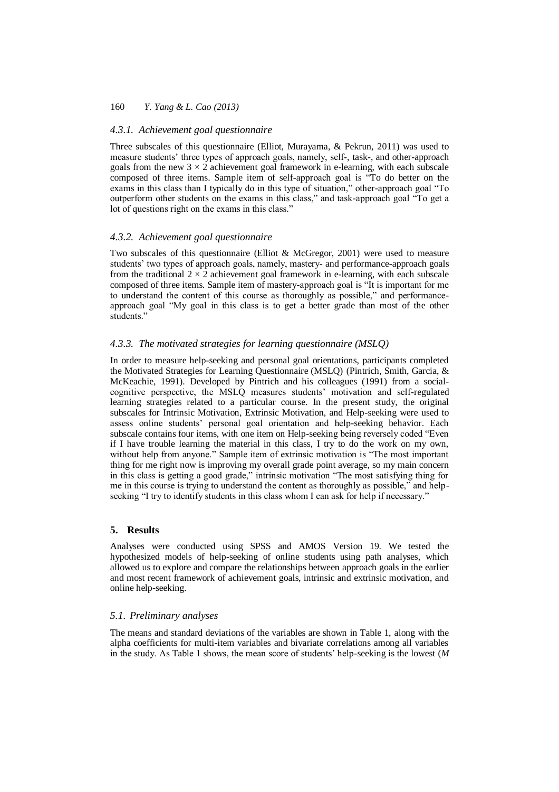## *4.3.1. Achievement goal questionnaire*

Three subscales of this questionnaire (Elliot, Murayama, & Pekrun, 2011) was used to measure students' three types of approach goals, namely, self-, task-, and other-approach goals from the new  $3 \times 2$  achievement goal framework in e-learning, with each subscale composed of three items. Sample item of self-approach goal is "To do better on the exams in this class than I typically do in this type of situation," other-approach goal "To outperform other students on the exams in this class," and task-approach goal "To get a lot of questions right on the exams in this class."

#### *4.3.2. Achievement goal questionnaire*

Two subscales of this questionnaire (Elliot & McGregor, 2001) were used to measure students' two types of approach goals, namely, mastery- and performance-approach goals from the traditional  $2 \times 2$  achievement goal framework in e-learning, with each subscale composed of three items. Sample item of mastery-approach goal is "It is important for me to understand the content of this course as thoroughly as possible," and performanceapproach goal "My goal in this class is to get a better grade than most of the other students."

## *4.3.3. The motivated strategies for learning questionnaire (MSLQ)*

In order to measure help-seeking and personal goal orientations, participants completed the Motivated Strategies for Learning Questionnaire (MSLQ) (Pintrich, Smith, Garcia, & McKeachie, 1991). Developed by Pintrich and his colleagues (1991) from a socialcognitive perspective, the MSLQ measures students' motivation and self-regulated learning strategies related to a particular course. In the present study, the original subscales for Intrinsic Motivation, Extrinsic Motivation, and Help-seeking were used to assess online students' personal goal orientation and help-seeking behavior. Each subscale contains four items, with one item on Help-seeking being reversely coded "Even if I have trouble learning the material in this class, I try to do the work on my own, without help from anyone." Sample item of extrinsic motivation is "The most important thing for me right now is improving my overall grade point average, so my main concern in this class is getting a good grade," intrinsic motivation "The most satisfying thing for me in this course is trying to understand the content as thoroughly as possible," and helpseeking "I try to identify students in this class whom I can ask for help if necessary."

#### **5. Results**

Analyses were conducted using SPSS and AMOS Version 19. We tested the hypothesized models of help-seeking of online students using path analyses, which allowed us to explore and compare the relationships between approach goals in the earlier and most recent framework of achievement goals, intrinsic and extrinsic motivation, and online help-seeking.

## *5.1. Preliminary analyses*

The means and standard deviations of the variables are shown in Table 1, along with the alpha coefficients for multi-item variables and bivariate correlations among all variables in the study. As Table 1 shows, the mean score of students' help-seeking is the lowest (*M*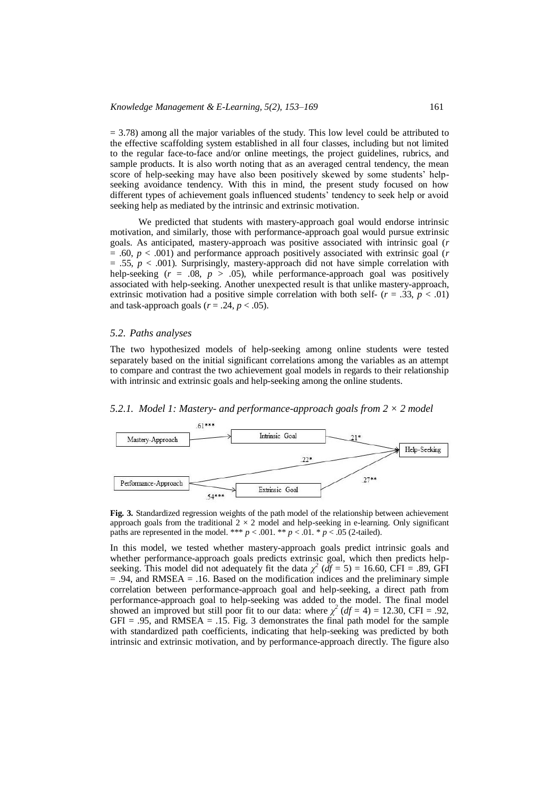$= 3.78$ ) among all the major variables of the study. This low level could be attributed to the effective scaffolding system established in all four classes, including but not limited to the regular face-to-face and/or online meetings, the project guidelines, rubrics, and sample products. It is also worth noting that as an averaged central tendency, the mean score of help-seeking may have also been positively skewed by some students' helpseeking avoidance tendency. With this in mind, the present study focused on how different types of achievement goals influenced students' tendency to seek help or avoid seeking help as mediated by the intrinsic and extrinsic motivation.

We predicted that students with mastery-approach goal would endorse intrinsic motivation, and similarly, those with performance-approach goal would pursue extrinsic goals. As anticipated, mastery-approach was positive associated with intrinsic goal (*r*  $= .60, p < .001$ ) and performance approach positively associated with extrinsic goal (*r*  $= .55, p < .001$ ). Surprisingly, mastery-approach did not have simple correlation with help-seeking  $(r = .08, p > .05)$ , while performance-approach goal was positively associated with help-seeking. Another unexpected result is that unlike mastery-approach, extrinsic motivation had a positive simple correlation with both self-  $(r = .33, p < .01)$ and task-approach goals ( $r = .24$ ,  $p < .05$ ).

## *5.2. Paths analyses*

The two hypothesized models of help-seeking among online students were tested separately based on the initial significant correlations among the variables as an attempt to compare and contrast the two achievement goal models in regards to their relationship with intrinsic and extrinsic goals and help-seeking among the online students.

#### *5.2.1. Model 1: Mastery- and performance-approach goals from 2 × 2 model*



**Fig. 3.** Standardized regression weights of the path model of the relationship between achievement approach goals from the traditional  $2 \times 2$  model and help-seeking in e-learning. Only significant paths are represented in the model. \*\*\*  $p < .001$ . \*\*  $p < .01$ . \*  $p < .05$  (2-tailed).

In this model, we tested whether mastery-approach goals predict intrinsic goals and whether performance-approach goals predicts extrinsic goal, which then predicts helpseeking. This model did not adequately fit the data  $\chi^2$  ( $df = 5$ ) = 16.60, CFI = .89, GFI  $=$  .94, and RMSEA  $=$  .16. Based on the modification indices and the preliminary simple correlation between performance-approach goal and help-seeking, a direct path from performance-approach goal to help-seeking was added to the model. The final model showed an improved but still poor fit to our data: where  $\chi^2$  ( $df = 4$ ) = 12.30, CFI = .92,  $GFI = .95$ , and RMSEA = .15. Fig. 3 demonstrates the final path model for the sample with standardized path coefficients, indicating that help-seeking was predicted by both intrinsic and extrinsic motivation, and by performance-approach directly. The figure also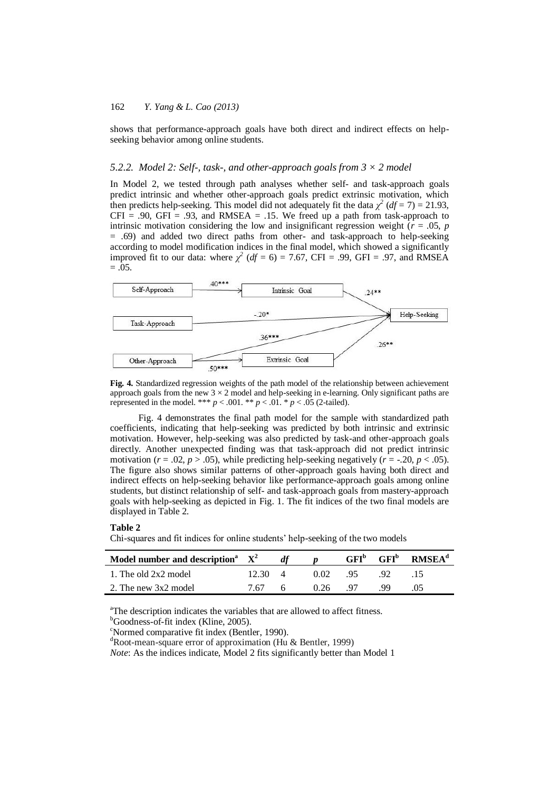shows that performance-approach goals have both direct and indirect effects on helpseeking behavior among online students.

### *5.2.2. Model 2: Self-, task-, and other-approach goals from 3 × 2 model*

In Model 2, we tested through path analyses whether self- and task-approach goals predict intrinsic and whether other-approach goals predict extrinsic motivation, which then predicts help-seeking. This model did not adequately fit the data  $\chi^2$  (*df* = 7) = 21.93,  $CFI = .90$ ,  $GFI = .93$ , and RMSEA = .15. We freed up a path from task-approach to intrinsic motivation considering the low and insignificant regression weight ( $r = .05$ ,  $p$ ) = .69) and added two direct paths from other- and task-approach to help-seeking according to model modification indices in the final model, which showed a significantly improved fit to our data: where  $\chi^2$  ( $df = 6$ ) = 7.67, CFI = .99, GFI = .97, and RMSEA  $=.05.$ 



**Fig. 4.** Standardized regression weights of the path model of the relationship between achievement approach goals from the new  $3 \times 2$  model and help-seeking in e-learning. Only significant paths are represented in the model. \*\*\*  $p < .001$ . \*\*  $p < .01$ . \*  $p < .05$  (2-tailed).

Fig. 4 demonstrates the final path model for the sample with standardized path coefficients, indicating that help-seeking was predicted by both intrinsic and extrinsic motivation. However, help-seeking was also predicted by task-and other-approach goals directly. Another unexpected finding was that task-approach did not predict intrinsic motivation ( $r = .02$ ,  $p > .05$ ), while predicting help-seeking negatively ( $r = -.20$ ,  $p < .05$ ). The figure also shows similar patterns of other-approach goals having both direct and indirect effects on help-seeking behavior like performance-approach goals among online students, but distinct relationship of self- and task-approach goals from mastery-approach goals with help-seeking as depicted in Fig. 1. The fit indices of the two final models are displayed in Table 2.

#### **Table 2**

Chi-squares and fit indices for online students' help-seeking of the two models

| Model number and description <sup>a</sup> $X^2$ |                 |       |      |      |    | $GFIb$ $GFIb$ RMSEA <sup>d</sup> |
|-------------------------------------------------|-----------------|-------|------|------|----|----------------------------------|
| 1. The old 2x2 model                            | $12.30 \quad 4$ |       | 0.02 | 95   |    |                                  |
| 2. The new 3x2 model                            | 7.67            | - 6 - | 0.26 | - 97 | 99 |                                  |

<sup>a</sup>The description indicates the variables that are allowed to affect fitness.

<sup>b</sup>Goodness-of-fit index (Kline, 2005).

<sup>c</sup>Normed comparative fit index (Bentler, 1990).

<sup>d</sup>Root-mean-square error of approximation (Hu & Bentler, 1999)

*Note*: As the indices indicate, Model 2 fits significantly better than Model 1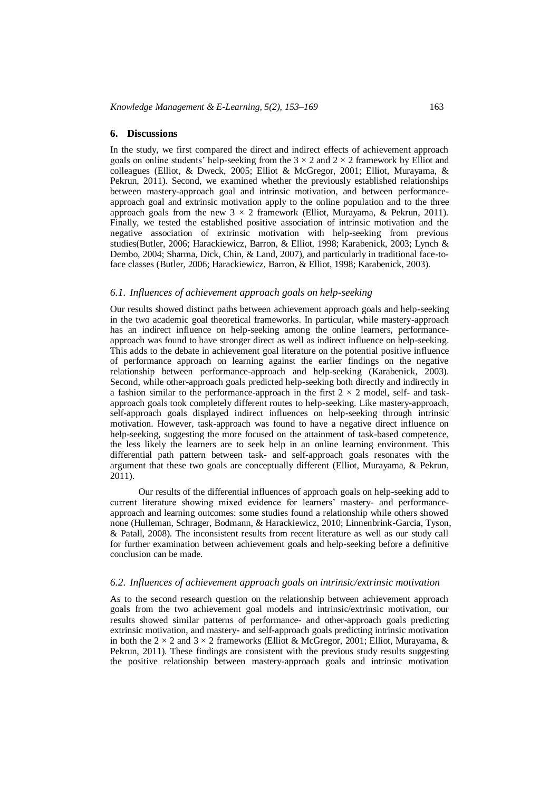## **6. Discussions**

In the study, we first compared the direct and indirect effects of achievement approach goals on online students' help-seeking from the  $3 \times 2$  and  $2 \times 2$  framework by Elliot and colleagues (Elliot, & Dweck, 2005; Elliot & McGregor, 2001; Elliot, Murayama, & Pekrun, 2011). Second, we examined whether the previously established relationships between mastery-approach goal and intrinsic motivation, and between performanceapproach goal and extrinsic motivation apply to the online population and to the three approach goals from the new  $3 \times 2$  framework (Elliot, Murayama, & Pekrun, 2011). Finally, we tested the established positive association of intrinsic motivation and the negative association of extrinsic motivation with help-seeking from previous studies(Butler, 2006; Harackiewicz, Barron, & Elliot, 1998; Karabenick, 2003; Lynch & Dembo, 2004; Sharma, Dick, Chin, & Land, 2007), and particularly in traditional face-toface classes (Butler, 2006; Harackiewicz, Barron, & Elliot, 1998; Karabenick, 2003).

## *6.1. Influences of achievement approach goals on help-seeking*

Our results showed distinct paths between achievement approach goals and help-seeking in the two academic goal theoretical frameworks. In particular, while mastery-approach has an indirect influence on help-seeking among the online learners, performanceapproach was found to have stronger direct as well as indirect influence on help-seeking. This adds to the debate in achievement goal literature on the potential positive influence of performance approach on learning against the earlier findings on the negative relationship between performance-approach and help-seeking (Karabenick, 2003). Second, while other-approach goals predicted help-seeking both directly and indirectly in a fashion similar to the performance-approach in the first  $2 \times 2$  model, self- and taskapproach goals took completely different routes to help-seeking. Like mastery-approach, self-approach goals displayed indirect influences on help-seeking through intrinsic motivation. However, task-approach was found to have a negative direct influence on help-seeking, suggesting the more focused on the attainment of task-based competence, the less likely the learners are to seek help in an online learning environment. This differential path pattern between task- and self-approach goals resonates with the argument that these two goals are conceptually different (Elliot, Murayama, & Pekrun, 2011).

Our results of the differential influences of approach goals on help-seeking add to current literature showing mixed evidence for learners' mastery- and performanceapproach and learning outcomes: some studies found a relationship while others showed none (Hulleman, Schrager, Bodmann, & Harackiewicz, 2010; Linnenbrink-Garcia, Tyson, & Patall, 2008). The inconsistent results from recent literature as well as our study call for further examination between achievement goals and help-seeking before a definitive conclusion can be made.

## *6.2. Influences of achievement approach goals on intrinsic/extrinsic motivation*

As to the second research question on the relationship between achievement approach goals from the two achievement goal models and intrinsic/extrinsic motivation, our results showed similar patterns of performance- and other-approach goals predicting extrinsic motivation, and mastery- and self-approach goals predicting intrinsic motivation in both the  $2 \times 2$  and  $3 \times 2$  frameworks (Elliot & McGregor, 2001; Elliot, Murayama, & Pekrun, 2011). These findings are consistent with the previous study results suggesting the positive relationship between mastery-approach goals and intrinsic motivation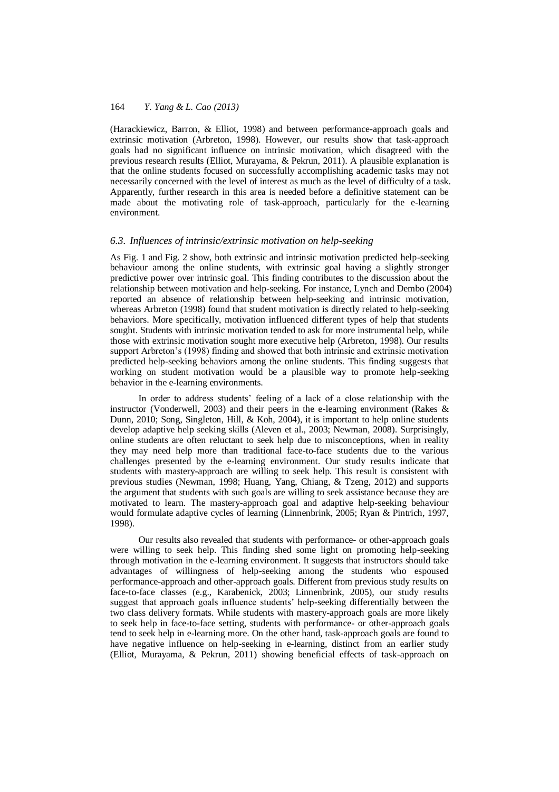(Harackiewicz, Barron, & Elliot, 1998) and between performance-approach goals and extrinsic motivation (Arbreton, 1998). However, our results show that task-approach goals had no significant influence on intrinsic motivation, which disagreed with the previous research results (Elliot, Murayama, & Pekrun, 2011). A plausible explanation is that the online students focused on successfully accomplishing academic tasks may not necessarily concerned with the level of interest as much as the level of difficulty of a task. Apparently, further research in this area is needed before a definitive statement can be made about the motivating role of task-approach, particularly for the e-learning environment.

## *6.3. Influences of intrinsic/extrinsic motivation on help-seeking*

As Fig. 1 and Fig. 2 show, both extrinsic and intrinsic motivation predicted help-seeking behaviour among the online students, with extrinsic goal having a slightly stronger predictive power over intrinsic goal. This finding contributes to the discussion about the relationship between motivation and help-seeking. For instance, Lynch and Dembo (2004) reported an absence of relationship between help-seeking and intrinsic motivation, whereas Arbreton (1998) found that student motivation is directly related to help-seeking behaviors. More specifically, motivation influenced different types of help that students sought. Students with intrinsic motivation tended to ask for more instrumental help, while those with extrinsic motivation sought more executive help (Arbreton, 1998). Our results support Arbreton's (1998) finding and showed that both intrinsic and extrinsic motivation predicted help-seeking behaviors among the online students. This finding suggests that working on student motivation would be a plausible way to promote help-seeking behavior in the e-learning environments.

In order to address students' feeling of a lack of a close relationship with the instructor (Vonderwell, 2003) and their peers in the e-learning environment (Rakes & Dunn, 2010; Song, Singleton, Hill, & Koh, 2004), it is important to help online students develop adaptive help seeking skills (Aleven et al., 2003; Newman, 2008). Surprisingly, online students are often reluctant to seek help due to misconceptions, when in reality they may need help more than traditional face-to-face students due to the various challenges presented by the e-learning environment. Our study results indicate that students with mastery-approach are willing to seek help. This result is consistent with previous studies (Newman, 1998; Huang, Yang, Chiang, & Tzeng, 2012) and supports the argument that students with such goals are willing to seek assistance because they are motivated to learn. The mastery-approach goal and adaptive help-seeking behaviour would formulate adaptive cycles of learning (Linnenbrink, 2005; Ryan & Pintrich, 1997, 1998).

Our results also revealed that students with performance- or other-approach goals were willing to seek help. This finding shed some light on promoting help-seeking through motivation in the e-learning environment. It suggests that instructors should take advantages of willingness of help-seeking among the students who espoused performance-approach and other-approach goals. Different from previous study results on face-to-face classes (e.g., Karabenick, 2003; Linnenbrink, 2005), our study results suggest that approach goals influence students' help-seeking differentially between the two class delivery formats. While students with mastery-approach goals are more likely to seek help in face-to-face setting, students with performance- or other-approach goals tend to seek help in e-learning more. On the other hand, task-approach goals are found to have negative influence on help-seeking in e-learning, distinct from an earlier study (Elliot, Murayama, & Pekrun, 2011) showing beneficial effects of task-approach on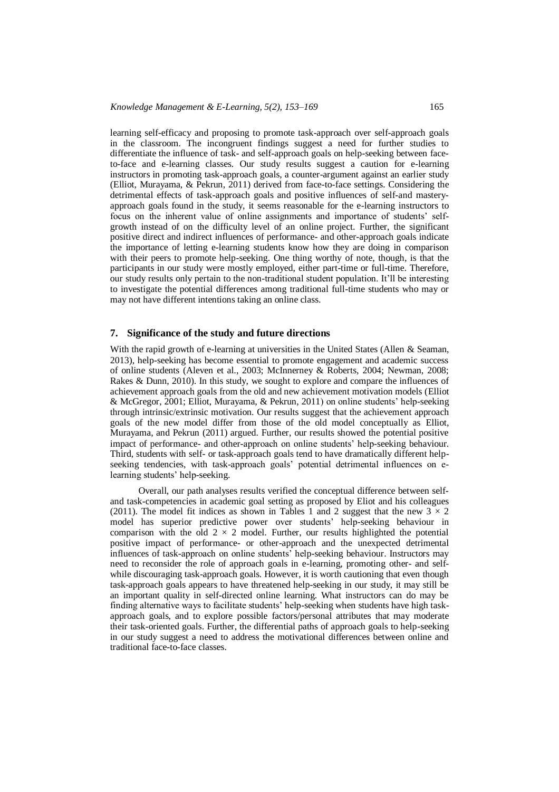learning self-efficacy and proposing to promote task-approach over self-approach goals in the classroom. The incongruent findings suggest a need for further studies to differentiate the influence of task- and self-approach goals on help-seeking between faceto-face and e-learning classes. Our study results suggest a caution for e-learning instructors in promoting task-approach goals, a counter-argument against an earlier study (Elliot, Murayama, & Pekrun, 2011) derived from face-to-face settings. Considering the detrimental effects of task-approach goals and positive influences of self-and masteryapproach goals found in the study, it seems reasonable for the e-learning instructors to focus on the inherent value of online assignments and importance of students' selfgrowth instead of on the difficulty level of an online project. Further, the significant positive direct and indirect influences of performance- and other-approach goals indicate the importance of letting e-learning students know how they are doing in comparison with their peers to promote help-seeking. One thing worthy of note, though, is that the participants in our study were mostly employed, either part-time or full-time. Therefore, our study results only pertain to the non-traditional student population. It'll be interesting to investigate the potential differences among traditional full-time students who may or may not have different intentions taking an online class.

## **7. Significance of the study and future directions**

With the rapid growth of e-learning at universities in the United States (Allen & Seaman, 2013), help-seeking has become essential to promote engagement and academic success of online students (Aleven et al., 2003; McInnerney & Roberts, 2004; Newman, 2008; Rakes & Dunn, 2010). In this study, we sought to explore and compare the influences of achievement approach goals from the old and new achievement motivation models (Elliot & McGregor, 2001; Elliot, Murayama, & Pekrun, 2011) on online students' help-seeking through intrinsic/extrinsic motivation. Our results suggest that the achievement approach goals of the new model differ from those of the old model conceptually as Elliot, Murayama, and Pekrun (2011) argued. Further, our results showed the potential positive impact of performance- and other-approach on online students' help-seeking behaviour. Third, students with self- or task-approach goals tend to have dramatically different helpseeking tendencies, with task-approach goals' potential detrimental influences on elearning students' help-seeking.

Overall, our path analyses results verified the conceptual difference between selfand task-competencies in academic goal setting as proposed by Eliot and his colleagues (2011). The model fit indices as shown in Tables 1 and 2 suggest that the new  $3 \times 2$ model has superior predictive power over students' help-seeking behaviour in comparison with the old  $2 \times 2$  model. Further, our results highlighted the potential positive impact of performance- or other-approach and the unexpected detrimental influences of task-approach on online students' help-seeking behaviour. Instructors may need to reconsider the role of approach goals in e-learning, promoting other- and selfwhile discouraging task-approach goals. However, it is worth cautioning that even though task-approach goals appears to have threatened help-seeking in our study, it may still be an important quality in self-directed online learning. What instructors can do may be finding alternative ways to facilitate students' help-seeking when students have high taskapproach goals, and to explore possible factors/personal attributes that may moderate their task-oriented goals. Further, the differential paths of approach goals to help-seeking in our study suggest a need to address the motivational differences between online and traditional face-to-face classes.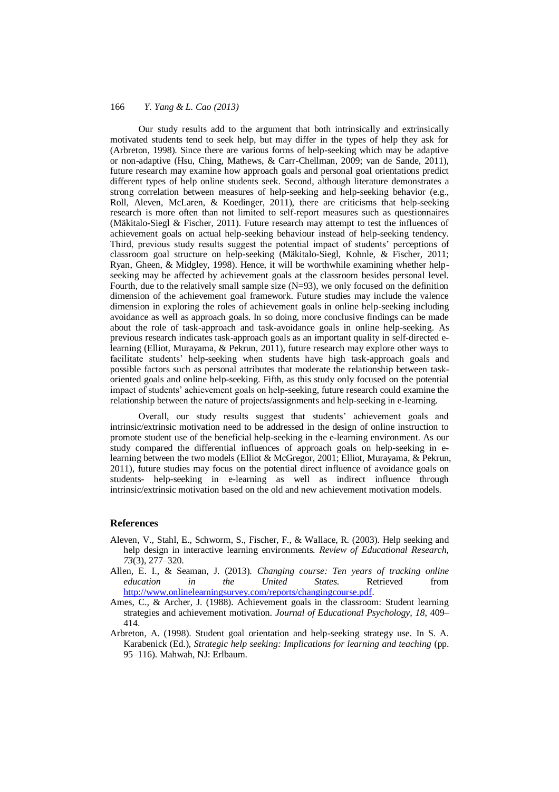Our study results add to the argument that both intrinsically and extrinsically motivated students tend to seek help, but may differ in the types of help they ask for (Arbreton, 1998). Since there are various forms of help-seeking which may be adaptive or non-adaptive (Hsu, Ching, Mathews, & Carr-Chellman, 2009; van de Sande, 2011), future research may examine how approach goals and personal goal orientations predict different types of help online students seek. Second, although literature demonstrates a strong correlation between measures of help-seeking and help-seeking behavior (e.g., Roll, Aleven, McLaren, & Koedinger, 2011), there are criticisms that help-seeking research is more often than not limited to self-report measures such as questionnaires (Mäkitalo-Siegl & Fischer, 2011). Future research may attempt to test the influences of achievement goals on actual help-seeking behaviour instead of help-seeking tendency. Third, previous study results suggest the potential impact of students' perceptions of classroom goal structure on help-seeking (Mäkitalo-Siegl, Kohnle, & Fischer, 2011; Ryan, Gheen, & Midgley, 1998). Hence, it will be worthwhile examining whether helpseeking may be affected by achievement goals at the classroom besides personal level. Fourth, due to the relatively small sample size (N=93), we only focused on the definition dimension of the achievement goal framework. Future studies may include the valence dimension in exploring the roles of achievement goals in online help-seeking including avoidance as well as approach goals. In so doing, more conclusive findings can be made about the role of task-approach and task-avoidance goals in online help-seeking. As previous research indicates task-approach goals as an important quality in self-directed elearning (Elliot, Murayama, & Pekrun, 2011), future research may explore other ways to facilitate students' help-seeking when students have high task-approach goals and possible factors such as personal attributes that moderate the relationship between taskoriented goals and online help-seeking. Fifth, as this study only focused on the potential impact of students' achievement goals on help-seeking, future research could examine the relationship between the nature of projects/assignments and help-seeking in e-learning.

Overall, our study results suggest that students' achievement goals and intrinsic/extrinsic motivation need to be addressed in the design of online instruction to promote student use of the beneficial help-seeking in the e-learning environment. As our study compared the differential influences of approach goals on help-seeking in elearning between the two models (Elliot & McGregor, 2001; Elliot, Murayama, & Pekrun, 2011), future studies may focus on the potential direct influence of avoidance goals on students- help-seeking in e-learning as well as indirect influence through intrinsic/extrinsic motivation based on the old and new achievement motivation models.

## **References**

- Aleven, V., Stahl, E., Schworm, S., Fischer, F., & Wallace, R. (2003). Help seeking and help design in interactive learning environments. *Review of Educational Research, 73*(3), 277–320.
- Allen, E. I., & Seaman, J. (2013). *Changing course: Ten years of tracking online education in the United States*. Retrieved from [http://www.onlinelearningsurvey.com/reports/changingcourse.pdf.](http://www.onlinelearningsurvey.com/reports/changingcourse.pdf)
- Ames, C., & Archer, J. (1988). Achievement goals in the classroom: Student learning strategies and achievement motivation. *Journal of Educational Psychology, 18*, 409– 414.
- Arbreton, A. (1998). Student goal orientation and help-seeking strategy use. In S. A. Karabenick (Ed.), *Strategic help seeking: Implications for learning and teaching* (pp. 95–116). Mahwah, NJ: Erlbaum.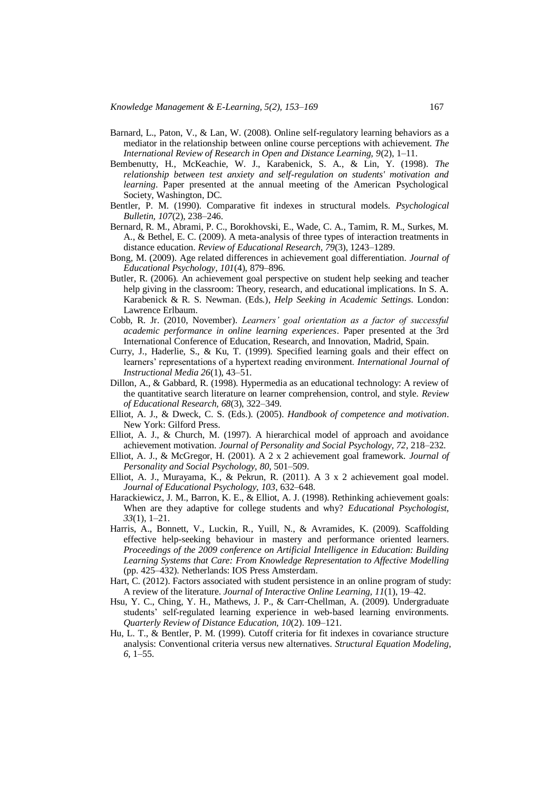- Barnard, L., Paton, V., & Lan, W. (2008). Online self-regulatory learning behaviors as a mediator in the relationship between online course perceptions with achievement. *The International Review of Research in Open and Distance Learning, 9*(2), 1–11.
- Bembenutty, H., McKeachie, W. J., Karabenick, S. A., & Lin, Y. (1998). *The relationship between test anxiety and self-regulation on students' motivation and learning*. Paper presented at the annual meeting of the American Psychological Society, Washington, DC.
- Bentler, P. M. (1990). Comparative fit indexes in structural models. *Psychological Bulletin, 107*(2), 238–246.
- Bernard, R. M., Abrami, P. C., Borokhovski, E., Wade, C. A., Tamim, R. M., Surkes, M. A., & Bethel, E. C. (2009). A meta-analysis of three types of interaction treatments in distance education. *Review of Educational Research, 79*(3), 1243–1289.
- Bong, M. (2009). Age related differences in achievement goal differentiation. *Journal of Educational Psychology, 101*(4), 879–896.
- Butler, R. (2006). An achievement goal perspective on student help seeking and teacher help giving in the classroom: Theory, research, and educational implications. In S. A. Karabenick & R. S. Newman. (Eds.), *Help Seeking in Academic Settings*. London: Lawrence Erlbaum.
- Cobb, R. Jr. (2010, November). *Learners' goal orientation as a factor of successful academic performance in online learning experiences*. Paper presented at the 3rd International Conference of Education, Research, and Innovation, Madrid, Spain.
- Curry, J., Haderlie, S., & Ku, T. (1999). Specified learning goals and their effect on learners' representations of a hypertext reading environment. *International Journal of Instructional Media 26*(1), 43–51.
- Dillon, A., & Gabbard, R. (1998). Hypermedia as an educational technology: A review of the quantitative search literature on learner comprehension, control, and style. *Review of Educational Research, 68*(3), 322–349.
- Elliot, A. J., & Dweck, C. S. (Eds.). (2005). *Handbook of competence and motivation*. New York: Gilford Press.
- Elliot, A. J., & Church, M. (1997). A hierarchical model of approach and avoidance achievement motivation. *Journal of Personality and Social Psychology, 72*, 218–232.
- Elliot, A. J., & McGregor, H. (2001). A 2 x 2 achievement goal framework. *Journal of Personality and Social Psychology, 80*, 501–509.
- Elliot, A. J., Murayama, K., & Pekrun, R. (2011). A 3 x 2 achievement goal model. *Journal of Educational Psychology, 103*, 632–648.
- Harackiewicz, J. M., Barron, K. E., & Elliot, A. J. (1998). Rethinking achievement goals: When are they adaptive for college students and why? *Educational Psychologist, 33*(1), 1–21.
- Harris, A., Bonnett, V., Luckin, R., Yuill, N., & Avramides, K. (2009). Scaffolding effective help-seeking behaviour in mastery and performance oriented learners. *Proceedings of the 2009 conference on Artificial Intelligence in Education: Building Learning Systems that Care: From Knowledge Representation to Affective Modelling*  (pp. 425–432). Netherlands: IOS Press Amsterdam.
- Hart, C. (2012). Factors associated with student persistence in an online program of study: A review of the literature. *Journal of Interactive Online Learning, 11*(1), 19–42.
- Hsu, Y. C., Ching, Y. H., Mathews, J. P., & Carr-Chellman, A. (2009). Undergraduate students' self-regulated learning experience in web-based learning environments. *Quarterly Review of Distance Education, 10*(2). 109–121.
- Hu, L. T., & Bentler, P. M. (1999). Cutoff criteria for fit indexes in covariance structure analysis: Conventional criteria versus new alternatives. *Structural Equation Modeling, 6*, 1–55.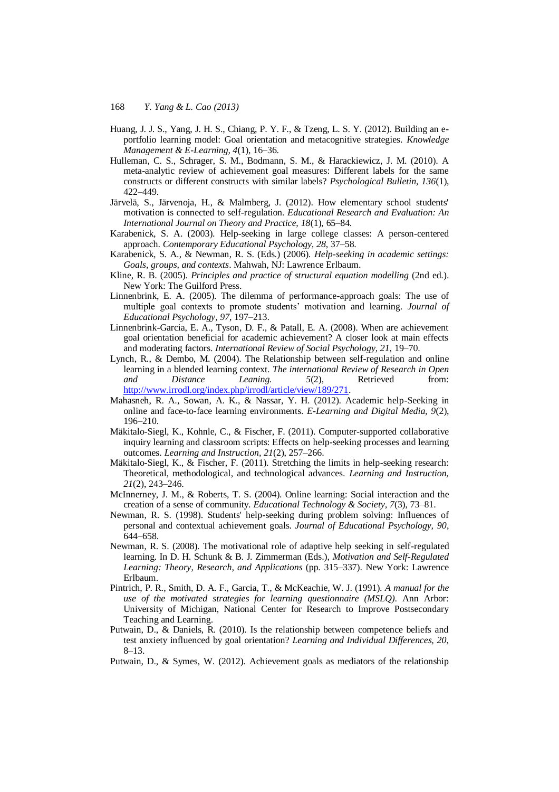- Huang, J. J. S., Yang, J. H. S., Chiang, P. Y. F., & Tzeng, L. S. Y. (2012). Building an eportfolio learning model: Goal orientation and metacognitive strategies. *Knowledge Management & E-Learning, 4*(1), 16–36.
- Hulleman, C. S., Schrager, S. M., Bodmann, S. M., & Harackiewicz, J. M. (2010). A meta-analytic review of achievement goal measures: Different labels for the same constructs or different constructs with similar labels? *Psychological Bulletin, 136*(1), 422–449.
- Järvelä, S., Järvenoja, H., & Malmberg, J. (2012). How elementary school students' motivation is connected to self-regulation. *Educational Research and Evaluation: An International Journal on Theory and Practice, 18*(1), 65–84.
- Karabenick, S. A. (2003). Help-seeking in large college classes: A person-centered approach. *Contemporary Educational Psychology, 28*, 37–58.
- Karabenick, S. A., & Newman, R. S. (Eds.) (2006). *Help-seeking in academic settings: Goals, groups, and contexts*. Mahwah, NJ: Lawrence Erlbaum.
- Kline, R. B. (2005). *Principles and practice of structural equation modelling* (2nd ed.). New York: The Guilford Press.
- Linnenbrink, E. A. (2005). The dilemma of performance-approach goals: The use of multiple goal contexts to promote students' motivation and learning. *Journal of Educational Psychology, 97*, 197–213.
- Linnenbrink-Garcia, E. A., Tyson, D. F., & Patall, E. A. (2008). When are achievement goal orientation beneficial for academic achievement? A closer look at main effects and moderating factors. *International Review of Social Psychology, 21*, 19–70.
- Lynch, R., & Dembo, M. (2004). The Relationship between self-regulation and online learning in a blended learning context. *The international Review of Research in Open and Distance Leaning. 5*(2), Retrieved from: [http://www.irrodl.org/index.php/irrodl/article/view/189/271.](http://www.irrodl.org/index.php/irrodl/article/view/189/271)
- Mahasneh, R. A., Sowan, A. K., & Nassar, Y. H. (2012). Academic help-Seeking in online and face-to-face learning environments. *E-Learning and Digital Media, 9*(2), 196–210.
- Mäkitalo-Siegl, K., Kohnle, C., & Fischer, F. (2011). Computer-supported collaborative inquiry learning and classroom scripts: Effects on help-seeking processes and learning outcomes. *Learning and Instruction, 21*(2), 257–266.
- Mäkitalo-Siegl, K., & Fischer, F. (2011). Stretching the limits in help-seeking research: Theoretical, methodological, and technological advances. *Learning and Instruction, 21*(2), 243–246.
- McInnerney, J. M., & Roberts, T. S. (2004). Online learning: Social interaction and the creation of a sense of community. *Educational Technology & Society, 7*(3), 73–81.
- Newman, R. S. (1998). Students' help-seeking during problem solving: Influences of personal and contextual achievement goals. *Journal of Educational Psychology, 90*, 644–658.
- Newman, R. S. (2008). The motivational role of adaptive help seeking in self-regulated learning. In D. H. Schunk & B. J. Zimmerman (Eds.), *Motivation and Self-Regulated Learning: Theory, Research, and Applications* (pp. 315–337). New York: Lawrence Erlbaum.
- Pintrich, P. R., Smith, D. A. F., Garcia, T., & McKeachie, W. J. (1991). *A manual for the use of the motivated strategies for learning questionnaire (MSLQ)*. Ann Arbor: University of Michigan, National Center for Research to Improve Postsecondary Teaching and Learning.
- Putwain, D., & Daniels, R. (2010). Is the relationship between competence beliefs and test anxiety influenced by goal orientation? *Learning and Individual Differences, 20*, 8–13.
- Putwain, D., & Symes, W. (2012). Achievement goals as mediators of the relationship